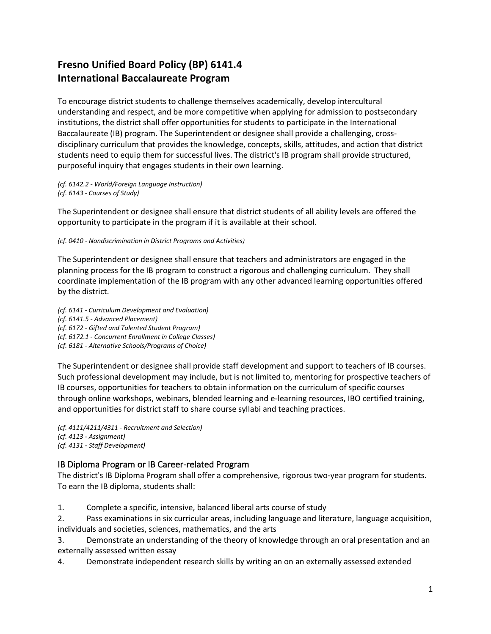## **Fresno Unified Board Policy (BP) 6141.4 International Baccalaureate Program**

To encourage district students to challenge themselves academically, develop intercultural understanding and respect, and be more competitive when applying for admission to postsecondary institutions, the district shall offer opportunities for students to participate in the International Baccalaureate (IB) program. The Superintendent or designee shall provide a challenging, crossdisciplinary curriculum that provides the knowledge, concepts, skills, attitudes, and action that district students need to equip them for successful lives. The district's IB program shall provide structured, purposeful inquiry that engages students in their own learning.

*(cf. 6142.2 - World/Foreign Language Instruction) (cf. 6143 - Courses of Study)*

The Superintendent or designee shall ensure that district students of all ability levels are offered the opportunity to participate in the program if it is available at their school.

*(cf. 0410 - Nondiscrimination in District Programs and Activities)*

The Superintendent or designee shall ensure that teachers and administrators are engaged in the planning process for the IB program to construct a rigorous and challenging curriculum. They shall coordinate implementation of the IB program with any other advanced learning opportunities offered by the district.

*(cf. 6141 - Curriculum Development and Evaluation) (cf. 6141.5 - Advanced Placement) (cf. 6172 - Gifted and Talented Student Program) (cf. 6172.1 - Concurrent Enrollment in College Classes) (cf. 6181 - Alternative Schools/Programs of Choice)*

The Superintendent or designee shall provide staff development and support to teachers of IB courses. Such professional development may include, but is not limited to, mentoring for prospective teachers of IB courses, opportunities for teachers to obtain information on the curriculum of specific courses through online workshops, webinars, blended learning and e-learning resources, IBO certified training, and opportunities for district staff to share course syllabi and teaching practices.

*(cf. 4111/4211/4311 - Recruitment and Selection) (cf. 4113 - Assignment) (cf. 4131 - Staff Development)*

## IB Diploma Program or IB Career-related Program

The district's IB Diploma Program shall offer a comprehensive, rigorous two-year program for students. To earn the IB diploma, students shall:

1. Complete a specific, intensive, balanced liberal arts course of study

2. Pass examinations in six curricular areas, including language and literature, language acquisition, individuals and societies, sciences, mathematics, and the arts

3. Demonstrate an understanding of the theory of knowledge through an oral presentation and an externally assessed written essay

4. Demonstrate independent research skills by writing an on an externally assessed extended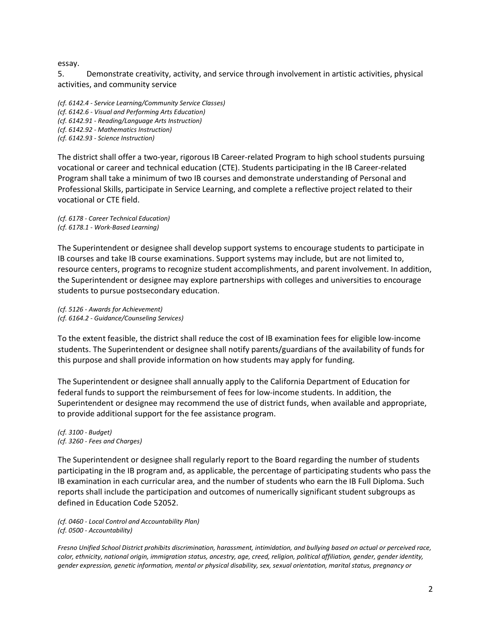## essay.

5. Demonstrate creativity, activity, and service through involvement in artistic activities, physical activities, and community service

*(cf. 6142.4 - Service Learning/Community Service Classes) (cf. 6142.6 - Visual and Performing Arts Education) (cf. 6142.91 - Reading/Language Arts Instruction) (cf. 6142.92 - Mathematics Instruction) (cf. 6142.93 - Science Instruction)*

The district shall offer a two-year, rigorous IB Career-related Program to high school students pursuing vocational or career and technical education (CTE). Students participating in the IB Career-related Program shall take a minimum of two IB courses and demonstrate understanding of Personal and Professional Skills, participate in Service Learning, and complete a reflective project related to their vocational or CTE field.

*(cf. 6178 - Career Technical Education) (cf. 6178.1 - Work-Based Learning)*

The Superintendent or designee shall develop support systems to encourage students to participate in IB courses and take IB course examinations. Support systems may include, but are not limited to, resource centers, programs to recognize student accomplishments, and parent involvement. In addition, the Superintendent or designee may explore partnerships with colleges and universities to encourage students to pursue postsecondary education.

*(cf. 5126 - Awards for Achievement) (cf. 6164.2 - Guidance/Counseling Services)*

To the extent feasible, the district shall reduce the cost of IB examination fees for eligible low-income students. The Superintendent or designee shall notify parents/guardians of the availability of funds for this purpose and shall provide information on how students may apply for funding.

The Superintendent or designee shall annually apply to the California Department of Education for federal funds to support the reimbursement of fees for low-income students. In addition, the Superintendent or designee may recommend the use of district funds, when available and appropriate, to provide additional support for the fee assistance program.

*(cf. 3100 - Budget) (cf. 3260 - Fees and Charges)*

The Superintendent or designee shall regularly report to the Board regarding the number of students participating in the IB program and, as applicable, the percentage of participating students who pass the IB examination in each curricular area, and the number of students who earn the IB Full Diploma. Such reports shall include the participation and outcomes of numerically significant student subgroups as defined in Education Code 52052.

*(cf. 0460 - Local Control and Accountability Plan) (cf. 0500 - Accountability)*

*Fresno Unified School District prohibits discrimination, harassment, intimidation, and bullying based on actual or perceived race, color, ethnicity, national origin, immigration status, ancestry, age, creed, religion, political affiliation, gender, gender identity, gender expression, genetic information, mental or physical disability, sex, sexual orientation, marital status, pregnancy or*